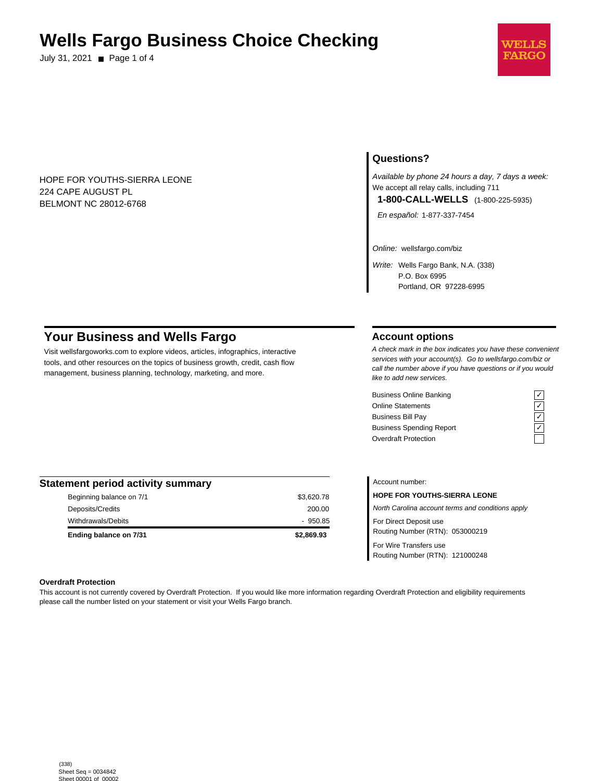# **Wells Fargo Business Choice Checking**

July 31, 2021 ■ Page 1 of 4



HOPE FOR YOUTHS-SIERRA LEONE 224 CAPE AUGUST PL BELMONT NC 28012-6768

# **Questions?**

Available by phone 24 hours a day, 7 days a week: We accept all relay calls, including 711 **1-800-CALL-WELLS** (1-800-225-5935)

En español: 1-877-337-7454

Online: wellsfargo.com/biz

Write: Wells Fargo Bank, N.A. (338) P.O. Box 6995 Portland, OR 97228-6995

# **Your Business and Wells Fargo**

Visit wellsfargoworks.com to explore videos, articles, infographics, interactive tools, and other resources on the topics of business growth, credit, cash flow management, business planning, technology, marketing, and more.

# **Account options**

A check mark in the box indicates you have these convenient services with your account(s). Go to wellsfargo.com/biz or call the number above if you have questions or if you would like to add new services.

Business Online Banking Online Statements Business Bill Pay Business Spending Report Overdraft Protection

| <b>Statement period activity summary</b> |            |
|------------------------------------------|------------|
| Beginning balance on 7/1                 | \$3,620.78 |
| Deposits/Credits                         | 200.00     |
| Withdrawals/Debits                       | $-950.85$  |
| Ending balance on 7/31                   | \$2,869.93 |

Account number:

**HOPE FOR YOUTHS-SIERRA LEONE** North Carolina account terms and conditions apply For Direct Deposit use Routing Number (RTN): 053000219 For Wire Transfers use Routing Number (RTN): 121000248

#### **Overdraft Protection**

This account is not currently covered by Overdraft Protection. If you would like more information regarding Overdraft Protection and eligibility requirements please call the number listed on your statement or visit your Wells Fargo branch.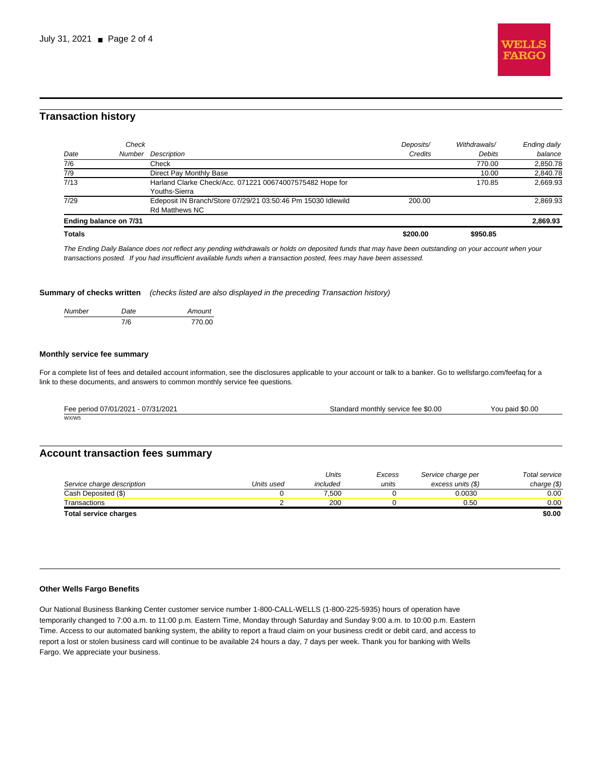

# **Transaction history**

| <b>Totals</b>          |                                                              | \$200.00  | \$950.85      |              |
|------------------------|--------------------------------------------------------------|-----------|---------------|--------------|
| Ending balance on 7/31 |                                                              |           |               | 2,869.93     |
|                        | <b>Rd Matthews NC</b>                                        |           |               |              |
| 7/29                   | Edeposit IN Branch/Store 07/29/21 03:50:46 Pm 15030 Idlewild | 200.00    |               | 2.869.93     |
|                        | Youths-Sierra                                                |           |               |              |
| 7/13                   | Harland Clarke Check/Acc. 071221 00674007575482 Hope for     |           | 170.85        | 2.669.93     |
| 7/9                    | Direct Pay Monthly Base                                      |           | 10.00         | 2,840.78     |
| 7/6                    | Check                                                        |           | 770.00        | 2,850.78     |
| Date                   | Description<br>Number                                        | Credits   | <b>Debits</b> | balance      |
|                        | Check                                                        | Deposits/ | Withdrawals/  | Ending daily |
|                        |                                                              |           |               |              |

The Ending Daily Balance does not reflect any pending withdrawals or holds on deposited funds that may have been outstanding on your account when your transactions posted. If you had insufficient available funds when a transaction posted, fees may have been assessed.

**Summary of checks written** (checks listed are also displayed in the preceding Transaction history)

| Number | Date | Amount |
|--------|------|--------|
|        | 7/6  | 770.00 |

#### **Monthly service fee summary**

For a complete list of fees and detailed account information, see the disclosures applicable to your account or talk to a banker. Go to wellsfargo.com/feefaq for a link to these documents, and answers to common monthly service fee questions.

| Fee period 07/01/2021 - 07/31/2021 | Standard monthly service fee \$0.00 | You paid \$0.00 |
|------------------------------------|-------------------------------------|-----------------|
| WX/W5                              |                                     |                 |

## **Account transaction fees summary**

|                              |            | Units    | Excess | Service charge per | Total service |
|------------------------------|------------|----------|--------|--------------------|---------------|
| Service charge description   | Units used | included | units  | excess units (\$)  | charge $(\$)$ |
| Cash Deposited (\$)          |            | 7.500    |        | 0.0030             | 0.00          |
| Transactions                 |            | 200      |        | 0.50               | 0.00          |
| <b>Total service charges</b> |            |          |        |                    | \$0.00        |

#### **Other Wells Fargo Benefits**

Our National Business Banking Center customer service number 1-800-CALL-WELLS (1-800-225-5935) hours of operation have temporarily changed to 7:00 a.m. to 11:00 p.m. Eastern Time, Monday through Saturday and Sunday 9:00 a.m. to 10:00 p.m. Eastern Time. Access to our automated banking system, the ability to report a fraud claim on your business credit or debit card, and access to report a lost or stolen business card will continue to be available 24 hours a day, 7 days per week. Thank you for banking with Wells Fargo. We appreciate your business.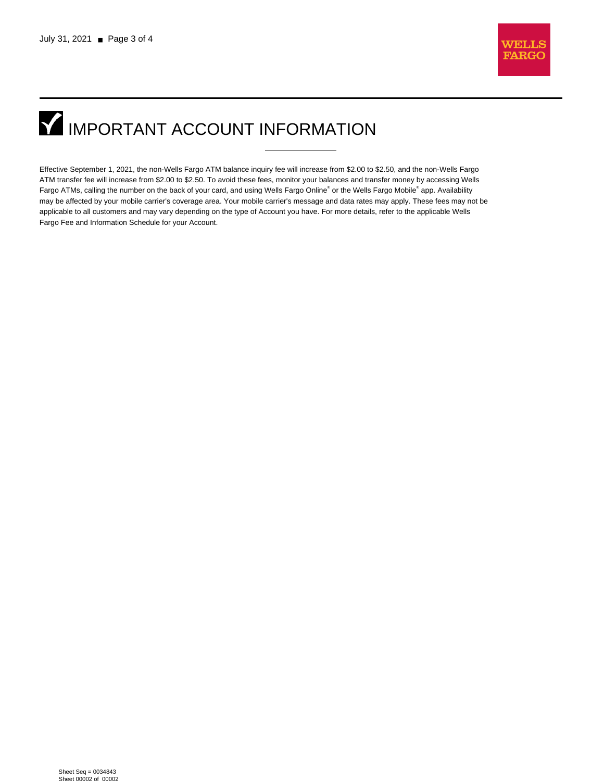

# **IMPORTANT ACCOUNT INFORMATION**

Effective September 1, 2021, the non-Wells Fargo ATM balance inquiry fee will increase from \$2.00 to \$2.50, and the non-Wells Fargo ATM transfer fee will increase from \$2.00 to \$2.50. To avoid these fees, monitor your balances and transfer money by accessing Wells Fargo ATMs, calling the number on the back of your card, and using Wells Fargo Online® or the Wells Fargo Mobile® app. Availability may be affected by your mobile carrier's coverage area. Your mobile carrier's message and data rates may apply. These fees may not be applicable to all customers and may vary depending on the type of Account you have. For more details, refer to the applicable Wells Fargo Fee and Information Schedule for your Account.